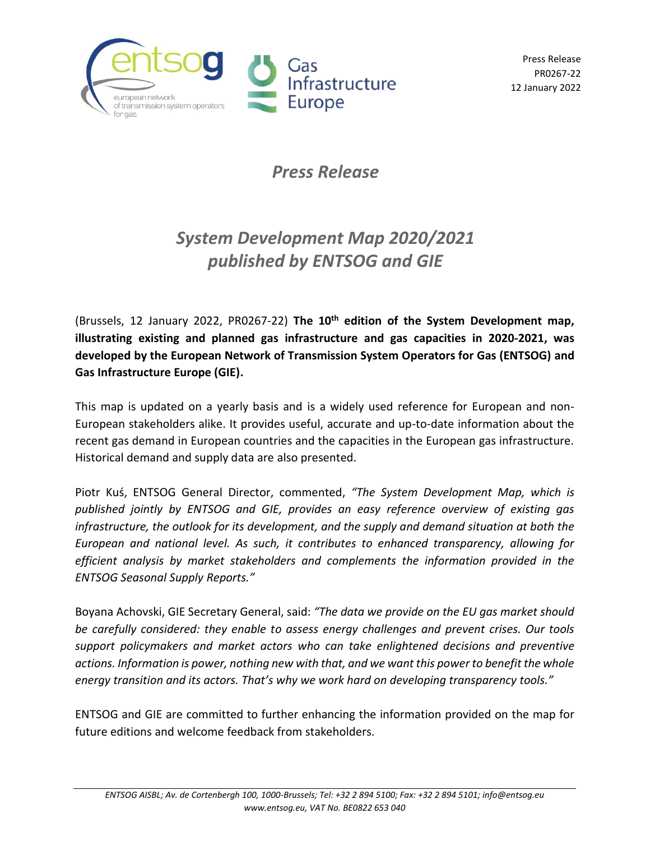

Press Release PR0267-22 12 January 2022

## *Press Release*

## *System Development Map 2020/2021 published by ENTSOG and GIE*

(Brussels, 12 January 2022, PR0267-22) **The 10th edition of the System Development map, illustrating existing and planned gas infrastructure and gas capacities in 2020-2021, was developed by the European Network of Transmission System Operators for Gas (ENTSOG) and Gas Infrastructure Europe (GIE).**

This map is updated on a yearly basis and is a widely used reference for European and non-European stakeholders alike. It provides useful, accurate and up-to-date information about the recent gas demand in European countries and the capacities in the European gas infrastructure. Historical demand and supply data are also presented.

Piotr Kuś, ENTSOG General Director, commented, *"The System Development Map, which is published jointly by ENTSOG and GIE, provides an easy reference overview of existing gas infrastructure, the outlook for its development, and the supply and demand situation at both the European and national level. As such, it contributes to enhanced transparency, allowing for efficient analysis by market stakeholders and complements the information provided in the ENTSOG Seasonal Supply Reports."*

Boyana Achovski, GIE Secretary General, said: *"The data we provide on the EU gas market should be carefully considered: they enable to assess energy challenges and prevent crises. Our tools support policymakers and market actors who can take enlightened decisions and preventive actions. Information is power, nothing new with that, and we want this power to benefit the whole energy transition and its actors. That's why we work hard on developing transparency tools."*

ENTSOG and GIE are committed to further enhancing the information provided on the map for future editions and welcome feedback from stakeholders.